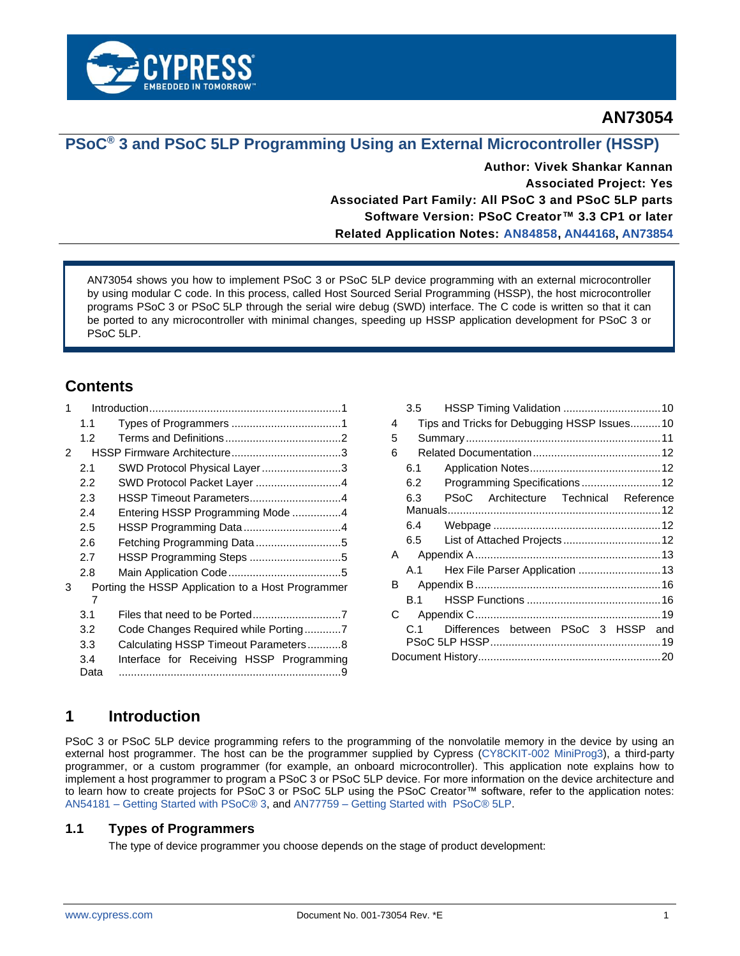

# **AN73054**

# **PSoC® 3 and PSoC 5LP Programming Using an External Microcontroller (HSSP)**

**Author: Vivek Shankar Kannan Associated Project: Yes Associated Part Family: All PSoC 3 and PSoC 5LP parts Software Version: PSoC Creator™ 3.3 CP1 or later Related Application Notes: [AN84858,](http://www.cypress.com/?rID=81013) [AN44168,](http://www.cypress.com/documentation/application-notes/an44168-psoc-1-device-programming-using-external-microcontroller) [AN73854](http://www.cypress.com/documentation/application-notes/an73854-psoc-3-psoc-4-and-psoc-5lp-introduction-bootloaders)**

AN73054 shows you how to implement PSoC 3 or PSoC 5LP device programming with an external microcontroller by using modular C code. In this process, called Host Sourced Serial Programming (HSSP), the host microcontroller programs PSoC 3 or PSoC 5LP through the serial wire debug (SWD) interface. The C code is written so that it can be ported to any microcontroller with minimal changes, speeding up HSSP application development for PSoC 3 or PSoC 5LP.

# **Contents**

| 1 |                                                   |                                          |  |  |  |
|---|---------------------------------------------------|------------------------------------------|--|--|--|
|   | 1.1                                               |                                          |  |  |  |
|   | 1.2                                               |                                          |  |  |  |
| 2 |                                                   |                                          |  |  |  |
|   | 2.1                                               | SWD Protocol Physical Layer3             |  |  |  |
|   | 2.2                                               | SWD Protocol Packet Layer 4              |  |  |  |
|   | 2.3                                               | HSSP Timeout Parameters4                 |  |  |  |
|   | 2.4                                               | Entering HSSP Programming Mode 4         |  |  |  |
|   | 2.5                                               | HSSP Programming Data4                   |  |  |  |
|   | 2.6                                               | Fetching Programming Data5               |  |  |  |
|   | 2.7                                               |                                          |  |  |  |
|   | 2.8                                               |                                          |  |  |  |
| 3 | Porting the HSSP Application to a Host Programmer |                                          |  |  |  |
|   | 7                                                 |                                          |  |  |  |
|   | 3.1                                               |                                          |  |  |  |
|   | 3.2                                               | Code Changes Required while Porting7     |  |  |  |
|   | 3.3                                               | Calculating HSSP Timeout Parameters8     |  |  |  |
|   | 3.4                                               | Interface for Receiving HSSP Programming |  |  |  |
|   | Data                                              |                                          |  |  |  |

|   | 3.5  |                                              |  |  |  |  |  |
|---|------|----------------------------------------------|--|--|--|--|--|
| 4 |      | Tips and Tricks for Debugging HSSP Issues 10 |  |  |  |  |  |
| 5 |      |                                              |  |  |  |  |  |
| 6 |      |                                              |  |  |  |  |  |
|   | 6.1  |                                              |  |  |  |  |  |
|   | 6.2  |                                              |  |  |  |  |  |
|   | 6.3  | PSoC Architecture Technical Reference        |  |  |  |  |  |
|   |      |                                              |  |  |  |  |  |
|   | 6.4  |                                              |  |  |  |  |  |
|   | 6.5  | List of Attached Projects 12                 |  |  |  |  |  |
| A |      |                                              |  |  |  |  |  |
|   | A.1  | Hex File Parser Application  13              |  |  |  |  |  |
| B |      |                                              |  |  |  |  |  |
|   | R 1. |                                              |  |  |  |  |  |
| С |      |                                              |  |  |  |  |  |
|   | C.1  | Differences between PSoC 3 HSSP and          |  |  |  |  |  |
|   |      |                                              |  |  |  |  |  |

# <span id="page-0-0"></span>**1 Introduction**

PSoC 3 or PSoC 5LP device programming refers to the programming of the nonvolatile memory in the device by using an external host programmer. The host can be the programmer supplied by Cypress [\(CY8CKIT-002 MiniProg3\)](http://www.cypress.com/?rID=38154&source=an84858), a third-party programmer, or a custom programmer (for example, an onboard microcontroller). This application note explains how to implement a host programmer to program a PSoC 3 or PSoC 5LP device. For more information on the device architecture and to learn how to create projects for PSoC 3 or PSoC 5LP using the PSoC Creator™ software, refer to the application notes: AN54181 – [Getting Started with PSoC® 3,](http://www.cypress.com/documentation/application-notes/an54181-getting-started-psoc-3) and AN77759 – [Getting Started with PSoC® 5LP.](http://www.cypress.com/documentation/application-notes/an77759-getting-started-psoc-5lp)

## <span id="page-0-1"></span>**1.1 Types of Programmers**

The type of device programmer you choose depends on the stage of product development: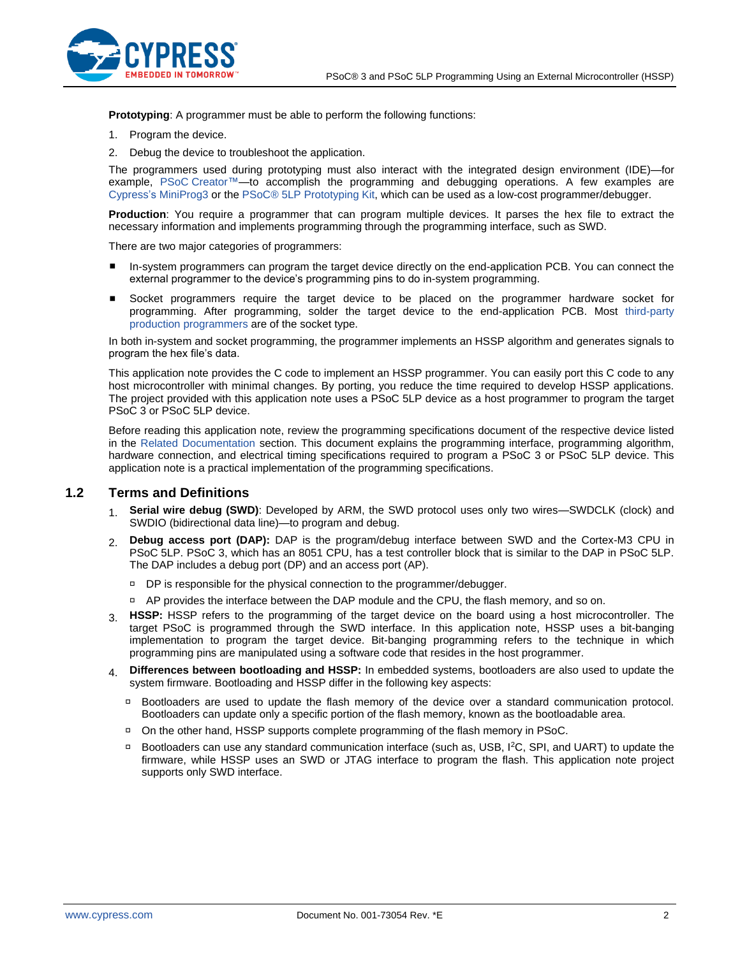

**Prototyping**: A programmer must be able to perform the following functions:

- 1. Program the device.
- 2. Debug the device to troubleshoot the application.

The programmers used during prototyping must also interact with the integrated design environment (IDE)—for example, PSoC [Creator™—](http://www.cypress.com/?id=2494&source=an84858)to accomplish the programming and debugging operations. A few examples are Cypress's [MiniProg3](http://www.cypress.com/?rID=38154&source=an84858) or the [PSoC® 5LP Prototyping Kit,](http://www.cypress.com/?rid=108038) which can be used as a low-cost programmer/debugger.

**Production**: You require a programmer that can program multiple devices. It parses the hex file to extract the necessary information and implements programming through the programming interface, such as SWD.

There are two major categories of programmers:

- In-system programmers can program the target device directly on the end-application PCB. You can connect the external programmer to the device's programming pins to do in-system programming.
- Socket programmers require the target device to be placed on the programmer hardware socket for programming. After programming, solder the target device to the end-application PCB. Most [third-party](http://www.cypress.com/?rID=2543)  [production programmers](http://www.cypress.com/?rID=2543) are of the socket type.

In both in-system and socket programming, the programmer implements an HSSP algorithm and generates signals to program the hex file's data.

This application note provides the C code to implement an HSSP programmer. You can easily port this C code to any host microcontroller with minimal changes. By porting, you reduce the time required to develop HSSP applications. The project provided with this application note uses a PSoC 5LP device as a host programmer to program the target PSoC 3 or PSoC 5LP device.

Before reading this application note, review the programming specifications document of the respective device listed in the [Related Documentation](#page-11-0) section. This document explains the programming interface, programming algorithm, hardware connection, and electrical timing specifications required to program a PSoC 3 or PSoC 5LP device. This application note is a practical implementation of the programming specifications.

### <span id="page-1-0"></span>**1.2 Terms and Definitions**

- 1. **Serial wire debug (SWD)**: Developed by ARM, the SWD protocol uses only two wires—SWDCLK (clock) and SWDIO (bidirectional data line)—to program and debug.
- 2. **Debug access port (DAP):** DAP is the program/debug interface between SWD and the Cortex-M3 CPU in PSoC 5LP. PSoC 3, which has an 8051 CPU, has a test controller block that is similar to the DAP in PSoC 5LP. The DAP includes a debug port (DP) and an access port (AP).
	- □ DP is responsible for the physical connection to the programmer/debugger.
	- □ AP provides the interface between the DAP module and the CPU, the flash memory, and so on.
- 3. **HSSP:** HSSP refers to the programming of the target device on the board using a host microcontroller. The target PSoC is programmed through the SWD interface. In this application note, HSSP uses a bit-banging implementation to program the target device. Bit-banging programming refers to the technique in which programming pins are manipulated using a software code that resides in the host programmer.
- 4. **Differences between bootloading and HSSP:** In embedded systems, bootloaders are also used to update the system firmware. Bootloading and HSSP differ in the following key aspects:
	- □ Bootloaders are used to update the flash memory of the device over a standard communication protocol. Bootloaders can update only a specific portion of the flash memory, known as the bootloadable area.
	- On the other hand, HSSP supports complete programming of the flash memory in PSoC.
	- □ Bootloaders can use any standard communication interface (such as, USB, I<sup>2</sup>C, SPI, and UART) to update the firmware, while HSSP uses an SWD or JTAG interface to program the flash. This application note project supports only SWD interface.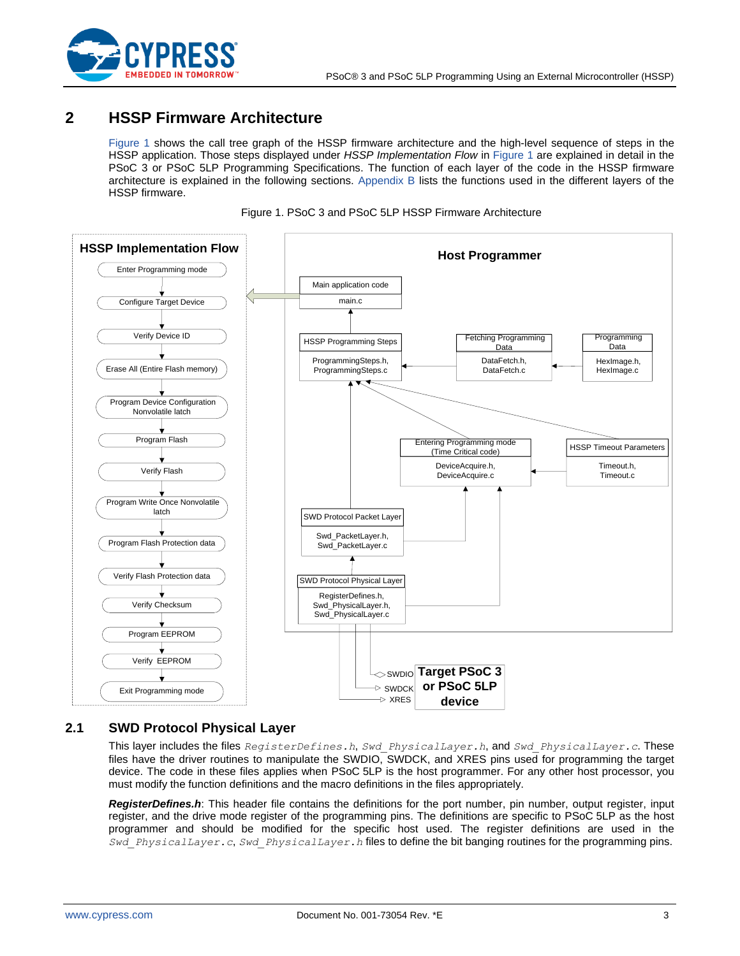

# <span id="page-2-0"></span>**2 HSSP Firmware Architecture**

[Figure 1](#page-2-2) shows the call tree graph of the HSSP firmware architecture and the high-level sequence of steps in the HSSP application. Those steps displayed under *HSSP Implementation Flow* in [Figure 1](#page-2-2) are explained in detail in the PSoC 3 or PSoC 5LP Programming Specifications. The function of each layer of the code in the HSSP firmware architecture is explained in the following sections. [Appendix B](#page-15-1) lists the functions used in the different layers of the HSSP firmware.



<span id="page-2-2"></span>

## <span id="page-2-1"></span>**2.1 SWD Protocol Physical Layer**

This layer includes the files *RegisterDefines.h*, *Swd\_PhysicalLayer.h*, and *Swd\_PhysicalLayer.c*. These files have the driver routines to manipulate the SWDIO, SWDCK, and XRES pins used for programming the target device. The code in these files applies when PSoC 5LP is the host programmer. For any other host processor, you must modify the function definitions and the macro definitions in the files appropriately.

*RegisterDefines.h*: This header file contains the definitions for the port number, pin number, output register, input register, and the drive mode register of the programming pins. The definitions are specific to PSoC 5LP as the host programmer and should be modified for the specific host used. The register definitions are used in the *Swd\_PhysicalLayer.c*, *Swd\_PhysicalLayer.h* files to define the bit banging routines for the programming pins.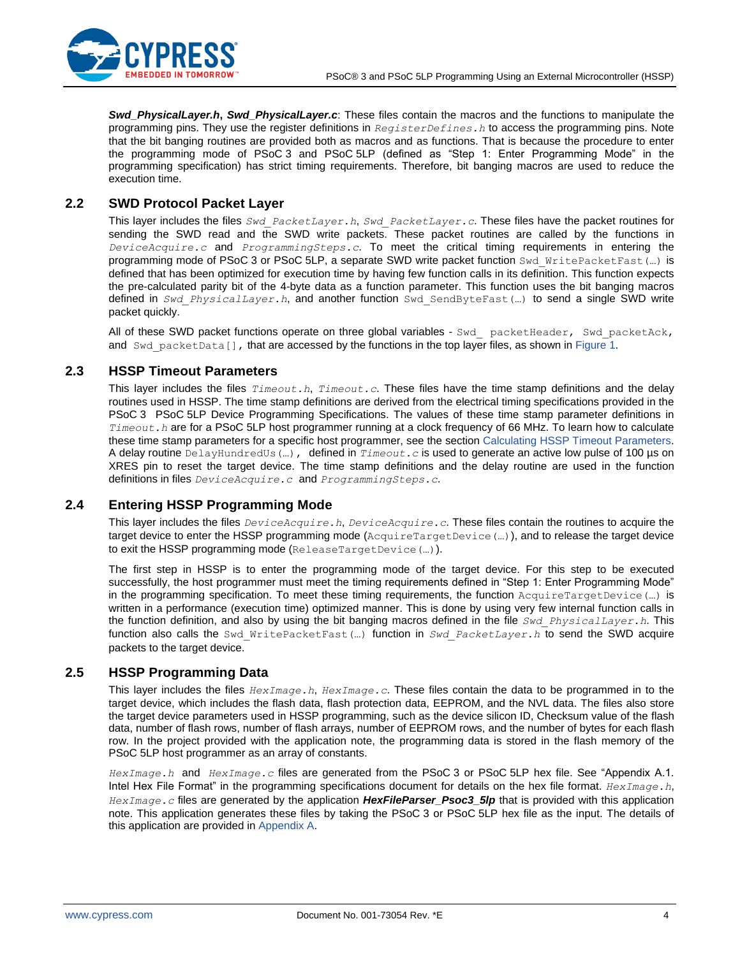

*Swd\_PhysicalLayer.h***,** *Swd\_PhysicalLayer.c*: These files contain the macros and the functions to manipulate the programming pins. They use the register definitions in *RegisterDefines.h* to access the programming pins. Note that the bit banging routines are provided both as macros and as functions. That is because the procedure to enter the programming mode of PSoC 3 and PSoC 5LP (defined as "Step 1: Enter Programming Mode" in the programming specification) has strict timing requirements. Therefore, bit banging macros are used to reduce the execution time.

## <span id="page-3-0"></span>**2.2 SWD Protocol Packet Layer**

This layer includes the files *Swd\_PacketLayer.h*, *Swd\_PacketLayer.c*. These files have the packet routines for sending the SWD read and the SWD write packets. These packet routines are called by the functions in *DeviceAcquire.c* and *ProgrammingSteps.c*. To meet the critical timing requirements in entering the programming mode of PSoC 3 or PSoC 5LP, a separate SWD write packet function Swd WritePacketFast(...) is defined that has been optimized for execution time by having few function calls in its definition. This function expects the pre-calculated parity bit of the 4-byte data as a function parameter. This function uses the bit banging macros defined in *Swd\_PhysicalLayer.h*, and another function Swd\_SendByteFast(…) to send a single SWD write packet quickly.

All of these SWD packet functions operate on three global variables - Swd\_ packetHeader, Swd\_packetAck, and Swd packetData[], that are accessed by the functions in the top layer files, as shown in [Figure 1.](#page-2-2)

## <span id="page-3-1"></span>**2.3 HSSP Timeout Parameters**

This layer includes the files *Timeout.h*, *Timeout.c*. These files have the time stamp definitions and the delay routines used in HSSP. The time stamp definitions are derived from the electrical timing specifications provided in the PSoC 3 PSoC 5LP Device Programming Specifications. The values of these time stamp parameter definitions in *Timeout.h* are for a PSoC 5LP host programmer running at a clock frequency of 66 MHz. To learn how to calculate these time stamp parameters for a specific host programmer, see the section [Calculating HSSP Timeout Parameters.](#page-7-0) A delay routine DelayHundredUs(…), defined in *Timeout.c* is used to generate an active low pulse of 100 µs on XRES pin to reset the target device. The time stamp definitions and the delay routine are used in the function definitions in files *DeviceAcquire.c* and *ProgrammingSteps.c*.

## <span id="page-3-2"></span>**2.4 Entering HSSP Programming Mode**

This layer includes the files *DeviceAcquire.h*, *DeviceAcquire.c*. These files contain the routines to acquire the target device to enter the HSSP programming mode (AcquireTargetDevice(…)), and to release the target device to exit the HSSP programming mode (ReleaseTargetDevice(…)).

The first step in HSSP is to enter the programming mode of the target device. For this step to be executed successfully, the host programmer must meet the timing requirements defined in "Step 1: Enter Programming Mode" in the programming specification. To meet these timing requirements, the function AcquireTargetDevice (...) is written in a performance (execution time) optimized manner. This is done by using very few internal function calls in the function definition, and also by using the bit banging macros defined in the file *Swd\_PhysicalLayer.h*. This function also calls the Swd\_WritePacketFast(…) function in *Swd\_PacketLayer.h* to send the SWD acquire packets to the target device.

## <span id="page-3-3"></span>**2.5 HSSP Programming Data**

This layer includes the files *HexImage.h*, *HexImage.c*. These files contain the data to be programmed in to the target device, which includes the flash data, flash protection data, EEPROM, and the NVL data. The files also store the target device parameters used in HSSP programming, such as the device silicon ID, Checksum value of the flash data, number of flash rows, number of flash arrays, number of EEPROM rows, and the number of bytes for each flash row. In the project provided with the application note, the programming data is stored in the flash memory of the PSoC 5LP host programmer as an array of constants.

*HexImage.h* and *HexImage.c* files are generated from the PSoC 3 or PSoC 5LP hex file. See "Appendix A.1. Intel Hex File Format" in the programming specifications document for details on the hex file format. *HexImage.h*, *HexImage.c* files are generated by the application *HexFileParser\_Psoc3\_5lp* that is provided with this application note. This application generates these files by taking the PSoC 3 or PSoC 5LP hex file as the input. The details of this application are provided in [Appendix A.](#page-12-0)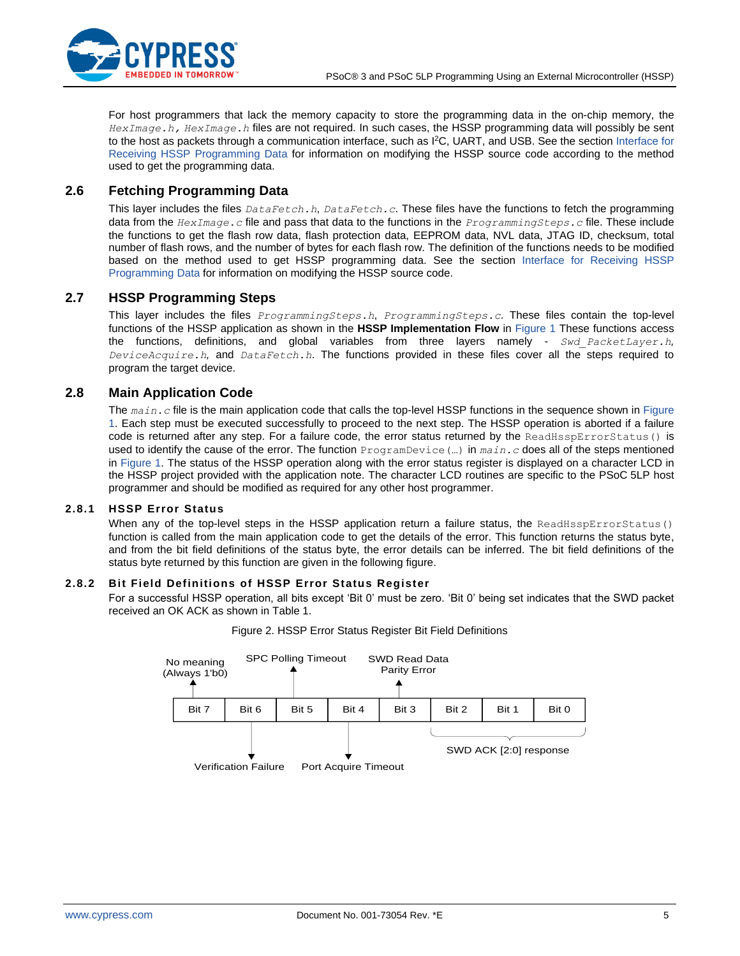

For host programmers that lack the memory capacity to store the programming data in the on-chip memory, the *HexImage.h, HexImage.h* files are not required. In such cases, the HSSP programming data will possibly be sent to the host as packets through a communication interface, such as I <sup>2</sup>C, UART, and USB. See the section [Interface for](#page-8-0)  [Receiving HSSP Programming Data](#page-8-0) for information on modifying the HSSP source code according to the method used to get the programming data.

### <span id="page-4-0"></span>**2.6 Fetching Programming Data**

This layer includes the files *DataFetch.h*, *DataFetch.c*. These files have the functions to fetch the programming data from the *HexImage.c* file and pass that data to the functions in the *ProgrammingSteps.c* file. These include the functions to get the flash row data, flash protection data, EEPROM data, NVL data, JTAG ID, checksum, total number of flash rows, and the number of bytes for each flash row. The definition of the functions needs to be modified based on the method used to get HSSP programming data. See the section [Interface for Receiving HSSP](#page-8-0)  [Programming Data](#page-8-0) for information on modifying the HSSP source code.

### <span id="page-4-1"></span>**2.7 HSSP Programming Steps**

This layer includes the files *ProgrammingSteps.h*, *ProgrammingSteps.c*. These files contain the top-level functions of the HSSP application as shown in the **HSSP Implementation Flow** in [Figure 1](#page-2-2) These functions access the functions, definitions, and global variables from three layers namely - *Swd\_PacketLayer.h, DeviceAcquire.h,* and *DataFetch.h*. The functions provided in these files cover all the steps required to program the target device.

### <span id="page-4-2"></span>**2.8 Main Application Code**

The *main.c* file is the main application code that calls the top-level HSSP functions in the sequence shown in [Figure](#page-2-2)  [1.](#page-2-2) Each step must be executed successfully to proceed to the next step. The HSSP operation is aborted if a failure code is returned after any step. For a failure code, the error status returned by the ReadHsspErrorStatus() is used to identify the cause of the error. The function ProgramDevice(…) in *main.c* does all of the steps mentioned in [Figure 1.](#page-2-2) The status of the HSSP operation along with the error status register is displayed on a character LCD in the HSSP project provided with the application note. The character LCD routines are specific to the PSoC 5LP host programmer and should be modified as required for any other host programmer.

### **2.8.1 HSSP Error Status**

When any of the top-level steps in the HSSP application return a failure status, the ReadHsspErrorStatus() function is called from the main application code to get the details of the error. This function returns the status byte, and from the bit field definitions of the status byte, the error details can be inferred. The bit field definitions of the status byte returned by this function are given in the following figure.

### <span id="page-4-3"></span>**2.8.2 Bit Field Definitions of HSSP Error Status Register**

For a successful HSSP operation, all bits except 'Bit 0' must be zero. 'Bit 0' being set indicates that the SWD packet received an OK ACK as shown in Table 1.



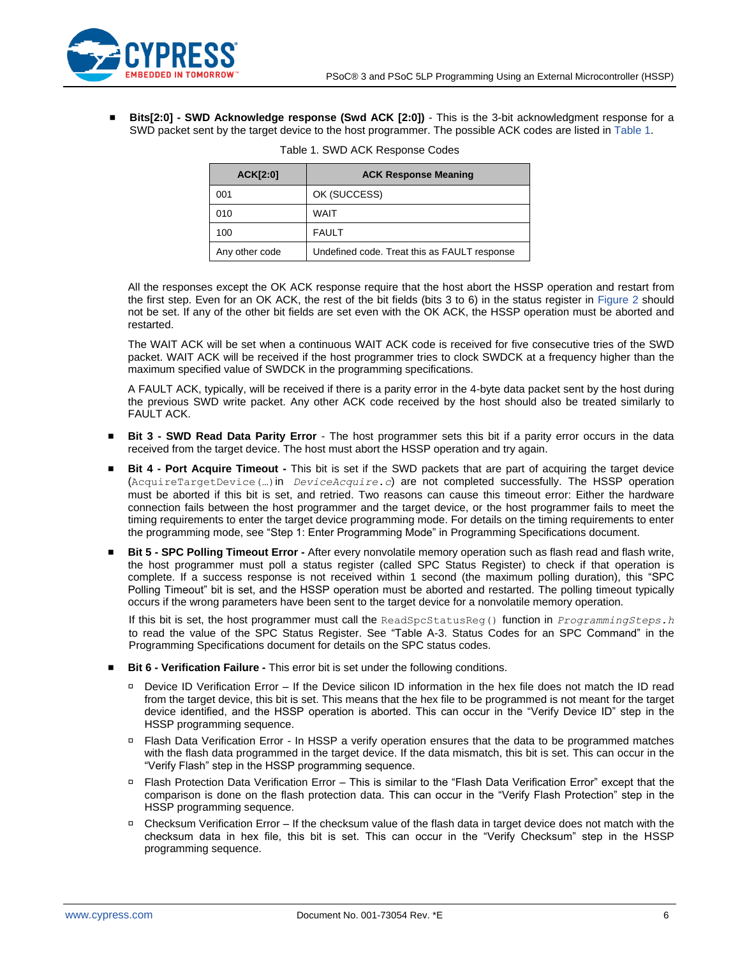

<span id="page-5-0"></span>▪ **Bits[2:0] - SWD Acknowledge response (Swd ACK [2:0])** - This is the 3-bit acknowledgment response for a SWD packet sent by the target device to the host programmer. The possible ACK codes are listed in [Table 1.](#page-5-0)

| ACK[2:0]       | <b>ACK Response Meaning</b>                  |
|----------------|----------------------------------------------|
| 001            | OK (SUCCESS)                                 |
| 010            | WAIT                                         |
| 100            | <b>FAULT</b>                                 |
| Any other code | Undefined code. Treat this as FAULT response |

| Table 1. SWD ACK Response Codes |  |  |  |  |  |  |
|---------------------------------|--|--|--|--|--|--|
|---------------------------------|--|--|--|--|--|--|

All the responses except the OK ACK response require that the host abort the HSSP operation and restart from the first step. Even for an OK ACK, the rest of the bit fields (bits 3 to 6) in the status register in [Figure 2](#page-4-3) should not be set. If any of the other bit fields are set even with the OK ACK, the HSSP operation must be aborted and restarted.

The WAIT ACK will be set when a continuous WAIT ACK code is received for five consecutive tries of the SWD packet. WAIT ACK will be received if the host programmer tries to clock SWDCK at a frequency higher than the maximum specified value of SWDCK in the programming specifications.

A FAULT ACK, typically, will be received if there is a parity error in the 4-byte data packet sent by the host during the previous SWD write packet. Any other ACK code received by the host should also be treated similarly to FAULT ACK.

- **Bit 3 SWD Read Data Parity Error** The host programmer sets this bit if a parity error occurs in the data received from the target device. The host must abort the HSSP operation and try again.
- **Bit 4 Port Acquire Timeout** This bit is set if the SWD packets that are part of acquiring the target device (AcquireTargetDevice(…)in *DeviceAcquire.c*) are not completed successfully. The HSSP operation must be aborted if this bit is set, and retried. Two reasons can cause this timeout error: Either the hardware connection fails between the host programmer and the target device, or the host programmer fails to meet the timing requirements to enter the target device programming mode. For details on the timing requirements to enter the programming mode, see "Step 1: Enter Programming Mode" in Programming Specifications document.
- **Bit 5 SPC Polling Timeout Error** After every nonvolatile memory operation such as flash read and flash write, the host programmer must poll a status register (called SPC Status Register) to check if that operation is complete. If a success response is not received within 1 second (the maximum polling duration), this "SPC Polling Timeout" bit is set, and the HSSP operation must be aborted and restarted. The polling timeout typically occurs if the wrong parameters have been sent to the target device for a nonvolatile memory operation.

If this bit is set, the host programmer must call the ReadSpcStatusReg() function in *ProgrammingSteps.h* to read the value of the SPC Status Register. See "Table A-3. Status Codes for an SPC Command" in the Programming Specifications document for details on the SPC status codes.

- **Bit 6 Verification Failure -** This error bit is set under the following conditions.
	- $\Box$  Device ID Verification Error If the Device silicon ID information in the hex file does not match the ID read from the target device, this bit is set. This means that the hex file to be programmed is not meant for the target device identified, and the HSSP operation is aborted. This can occur in the "Verify Device ID" step in the HSSP programming sequence.
	- □ Flash Data Verification Error In HSSP a verify operation ensures that the data to be programmed matches with the flash data programmed in the target device. If the data mismatch, this bit is set. This can occur in the "Verify Flash" step in the HSSP programming sequence.
	- Flash Protection Data Verification Error This is similar to the "Flash Data Verification Error" except that the comparison is done on the flash protection data. This can occur in the "Verify Flash Protection" step in the HSSP programming sequence.
	- Checksum Verification Error If the checksum value of the flash data in target device does not match with the checksum data in hex file, this bit is set. This can occur in the "Verify Checksum" step in the HSSP programming sequence.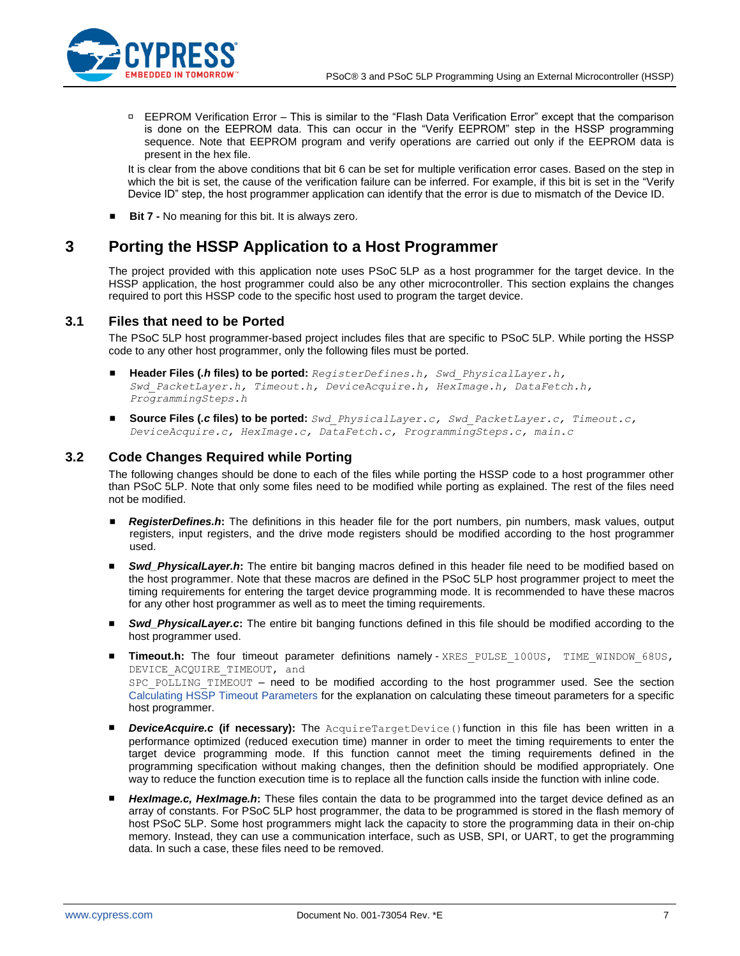

 EEPROM Verification Error – This is similar to the "Flash Data Verification Error" except that the comparison is done on the EEPROM data. This can occur in the "Verify EEPROM" step in the HSSP programming sequence. Note that EEPROM program and verify operations are carried out only if the EEPROM data is present in the hex file.

It is clear from the above conditions that bit 6 can be set for multiple verification error cases. Based on the step in which the bit is set, the cause of the verification failure can be inferred. For example, if this bit is set in the "Verify Device ID" step, the host programmer application can identify that the error is due to mismatch of the Device ID.

■ **Bit 7 -** No meaning for this bit. It is always zero.

# <span id="page-6-0"></span>**3 Porting the HSSP Application to a Host Programmer**

The project provided with this application note uses PSoC 5LP as a host programmer for the target device. In the HSSP application, the host programmer could also be any other microcontroller. This section explains the changes required to port this HSSP code to the specific host used to program the target device.

## <span id="page-6-1"></span>**3.1 Files that need to be Ported**

The PSoC 5LP host programmer-based project includes files that are specific to PSoC 5LP. While porting the HSSP code to any other host programmer, only the following files must be ported.

- **Header Files (***.h* **files) to be ported:** *RegisterDefines.h, Swd\_PhysicalLayer.h, Swd\_PacketLayer.h, Timeout.h, DeviceAcquire.h, HexImage.h, DataFetch.h, ProgrammingSteps.h*
- **Source Files (***.c* **files) to be ported:** *Swd\_PhysicalLayer.c, Swd\_PacketLayer.c, Timeout.c, DeviceAcquire.c, HexImage.c, DataFetch.c, ProgrammingSteps.c, main.c*

## <span id="page-6-2"></span>**3.2 Code Changes Required while Porting**

The following changes should be done to each of the files while porting the HSSP code to a host programmer other than PSoC 5LP. Note that only some files need to be modified while porting as explained. The rest of the files need not be modified.

- *RegisterDefines.h*: The definitions in this header file for the port numbers, pin numbers, mask values, output registers, input registers, and the drive mode registers should be modified according to the host programmer used.
- *Swd\_PhysicalLayer.h*: The entire bit banging macros defined in this header file need to be modified based on the host programmer. Note that these macros are defined in the PSoC 5LP host programmer project to meet the timing requirements for entering the target device programming mode. It is recommended to have these macros for any other host programmer as well as to meet the timing requirements.
- *Swd\_PhysicalLayer.c*: The entire bit banging functions defined in this file should be modified according to the host programmer used.
- **Timeout.h:** The four timeout parameter definitions namely XRES PULSE 100US, TIME WINDOW 68US, DEVICE ACQUIRE TIMEOUT, and SPC\_POLLING\_TIMEOUT – need to be modified according to the host programmer used. See the section [Calculating HSSP Timeout Parameters](#page-7-0) for the explanation on calculating these timeout parameters for a specific host programmer.
- **DeviceAcquire.c (if necessary):** The AcquireTargetDevice()function in this file has been written in a performance optimized (reduced execution time) manner in order to meet the timing requirements to enter the target device programming mode. If this function cannot meet the timing requirements defined in the programming specification without making changes, then the definition should be modified appropriately. One way to reduce the function execution time is to replace all the function calls inside the function with inline code.
- **HexImage.c, HexImage.h:** These files contain the data to be programmed into the target device defined as an array of constants. For PSoC 5LP host programmer, the data to be programmed is stored in the flash memory of host PSoC 5LP. Some host programmers might lack the capacity to store the programming data in their on-chip memory. Instead, they can use a communication interface, such as USB, SPI, or UART, to get the programming data. In such a case, these files need to be removed.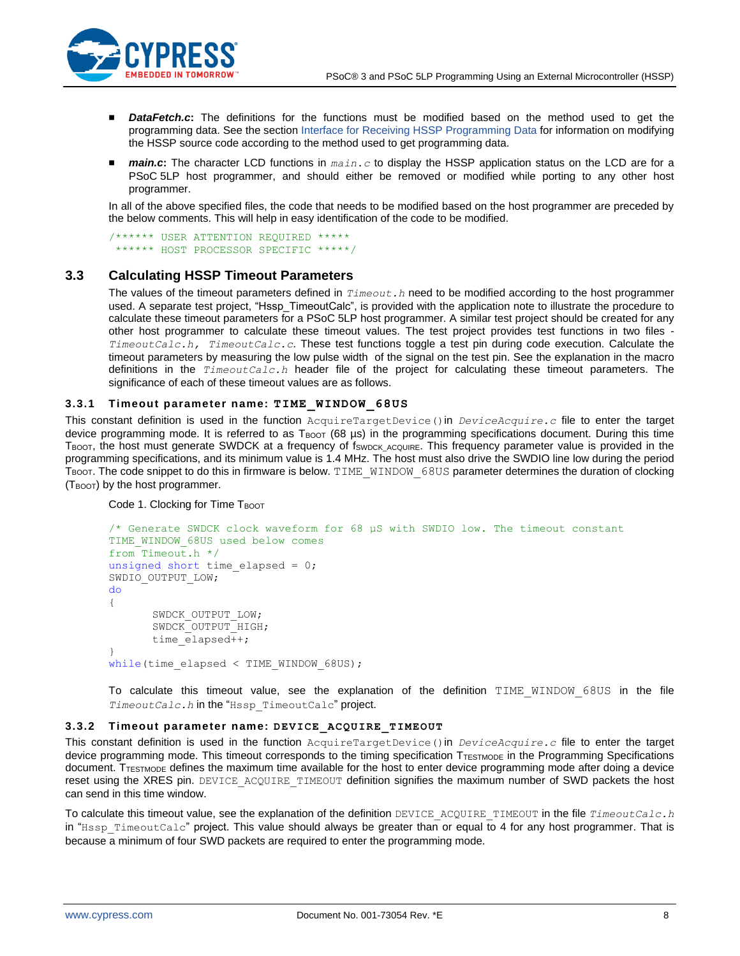

- *DataFetch.c*: The definitions for the functions must be modified based on the method used to get the programming data. See the section [Interface for Receiving HSSP Programming Data](#page-8-0) for information on modifying the HSSP source code according to the method used to get programming data.
- *main.c*: The character LCD functions in  $main.c$  to display the HSSP application status on the LCD are for a PSoC 5LP host programmer, and should either be removed or modified while porting to any other host programmer.

In all of the above specified files, the code that needs to be modified based on the host programmer are preceded by the below comments. This will help in easy identification of the code to be modified.

/\*\*\*\*\*\* USER ATTENTION REQUIRED \*\*\*\*\* \*\*\*\*\*\* HOST PROCESSOR SPECIFIC \*\*\*\*\*/

## <span id="page-7-0"></span>**3.3 Calculating HSSP Timeout Parameters**

The values of the timeout parameters defined in  $Timeout.h$  need to be modified according to the host programmer used. A separate test project, "Hssp\_TimeoutCalc", is provided with the application note to illustrate the procedure to calculate these timeout parameters for a PSoC 5LP host programmer. A similar test project should be created for any other host programmer to calculate these timeout values. The test project provides test functions in two files - *TimeoutCalc.h, TimeoutCalc.c*. These test functions toggle a test pin during code execution. Calculate the timeout parameters by measuring the low pulse width of the signal on the test pin. See the explanation in the macro definitions in the *TimeoutCalc.h* header file of the project for calculating these timeout parameters. The significance of each of these timeout values are as follows.

### **3.3.1 Timeout parameter name: TIME\_WINDOW\_68US**

This constant definition is used in the function AcquireTargetDevice()in *DeviceAcquire.c* file to enter the target device programming mode. It is referred to as  $T_{\text{BOOT}}$  (68 µs) in the programming specifications document. During this time TBOOT, the host must generate SWDCK at a frequency of fswpck Acquire. This frequency parameter value is provided in the programming specifications, and its minimum value is 1.4 MHz. The host must also drive the SWDIO line low during the period TBOOT. The code snippet to do this in firmware is below. TIME\_WINDOW\_68US parameter determines the duration of clocking (T<sub>BOOT</sub>) by the host programmer.

Code 1. Clocking for Time TBOOT

```
/* Generate SWDCK clock waveform for 68 µS with SWDIO low. The timeout constant 
TIME_WINDOW_68US used below comes 
from Timeout.h */
unsigned short time elapsed = 0;
SWDIO_OUTPUT_LOW;
do
{
       SWDCK_OUTPUT_LOW;
       SWDCK_OUTPUT_HIGH;
       time_elapsed++;
}
while(time elapsed \langle TIME WINDOW 68US);
```
To calculate this timeout value, see the explanation of the definition TIME\_WINDOW\_68US in the file *TimeoutCalc.h* in the "Hssp\_TimeoutCalc" project.

### **3.3.2 Timeout parameter name: DEVICE\_ACQUIRE\_TIMEOUT**

This constant definition is used in the function AcquireTargetDevice()in *DeviceAcquire.c* file to enter the target device programming mode. This timeout corresponds to the timing specification TTESTMODE in the Programming Specifications document. TTESTMODE defines the maximum time available for the host to enter device programming mode after doing a device reset using the XRES pin. DEVICE\_ACQUIRE\_TIMEOUT definition signifies the maximum number of SWD packets the host can send in this time window.

To calculate this timeout value, see the explanation of the definition DEVICE\_ACQUIRE\_TIMEOUT in the file *TimeoutCalc.h* in " $H<sub>SSp</sub>$  TimeoutCalc" project. This value should always be greater than or equal to 4 for any host programmer. That is because a minimum of four SWD packets are required to enter the programming mode.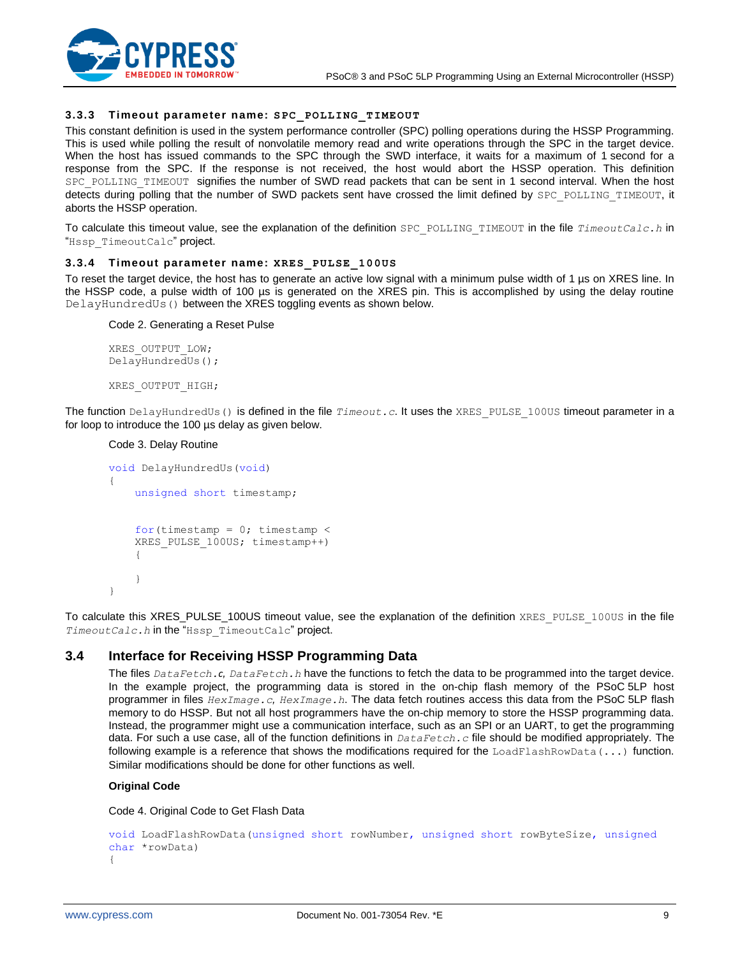

### **3.3.3 Timeout parameter name: SPC\_POLLING\_TIMEOUT**

This constant definition is used in the system performance controller (SPC) polling operations during the HSSP Programming. This is used while polling the result of nonvolatile memory read and write operations through the SPC in the target device. When the host has issued commands to the SPC through the SWD interface, it waits for a maximum of 1 second for a response from the SPC. If the response is not received, the host would abort the HSSP operation. This definition SPC\_POLLING\_TIMEOUT\_signifies the number of SWD read packets that can be sent in 1 second interval. When the host detects during polling that the number of SWD packets sent have crossed the limit defined by SPC\_POLLING\_TIMEOUT, it aborts the HSSP operation.

To calculate this timeout value, see the explanation of the definition SPC\_POLLING\_TIMEOUT in the file *TimeoutCalc.h* in "Hssp TimeoutCalc" project.

#### **3.3.4 Timeout parameter name: XRES\_PULSE\_100US**

To reset the target device, the host has to generate an active low signal with a minimum pulse width of 1 µs on XRES line. In the HSSP code, a pulse width of 100 µs is generated on the XRES pin. This is accomplished by using the delay routine DelayHundredUs() between the XRES toggling events as shown below.

#### Code 2. Generating a Reset Pulse

XRES\_OUTPUT\_LOW; DelayHundredUs();

```
XRES_OUTPUT_HIGH;
```
The function DelayHundredUs() is defined in the file *Timeout.c*. It uses the XRES\_PULSE\_100US timeout parameter in a for loop to introduce the 100 µs delay as given below.

### Code 3. Delay Routine

```
void DelayHundredUs(void)
{
     unsigned short timestamp; 
    for(timestamp = 0; timestamp <
     XRES_PULSE_100US; timestamp++)
     {
     }
}
```
To calculate this XRES\_PULSE\_100US timeout value, see the explanation of the definition XRES\_PULSE\_100US in the file *TimeoutCalc.h* in the "Hssp\_TimeoutCalc" project.

### <span id="page-8-0"></span>**3.4 Interface for Receiving HSSP Programming Data**

The files *DataFetch.c. DataFetch.h* have the functions to fetch the data to be programmed into the target device. In the example project, the programming data is stored in the on-chip flash memory of the PSoC 5LP host programmer in files *HexImage.c, HexImage.h.* The data fetch routines access this data from the PSoC 5LP flash memory to do HSSP. But not all host programmers have the on-chip memory to store the HSSP programming data. Instead, the programmer might use a communication interface, such as an SPI or an UART, to get the programming data. For such a use case, all of the function definitions in *DataFetch.c* file should be modified appropriately. The following example is a reference that shows the modifications required for the LoadFlashRowData(...) function. Similar modifications should be done for other functions as well.

#### **Original Code**

Code 4. Original Code to Get Flash Data

```
void LoadFlashRowData(unsigned short rowNumber, unsigned short rowByteSize, unsigned 
char *rowData)
{
```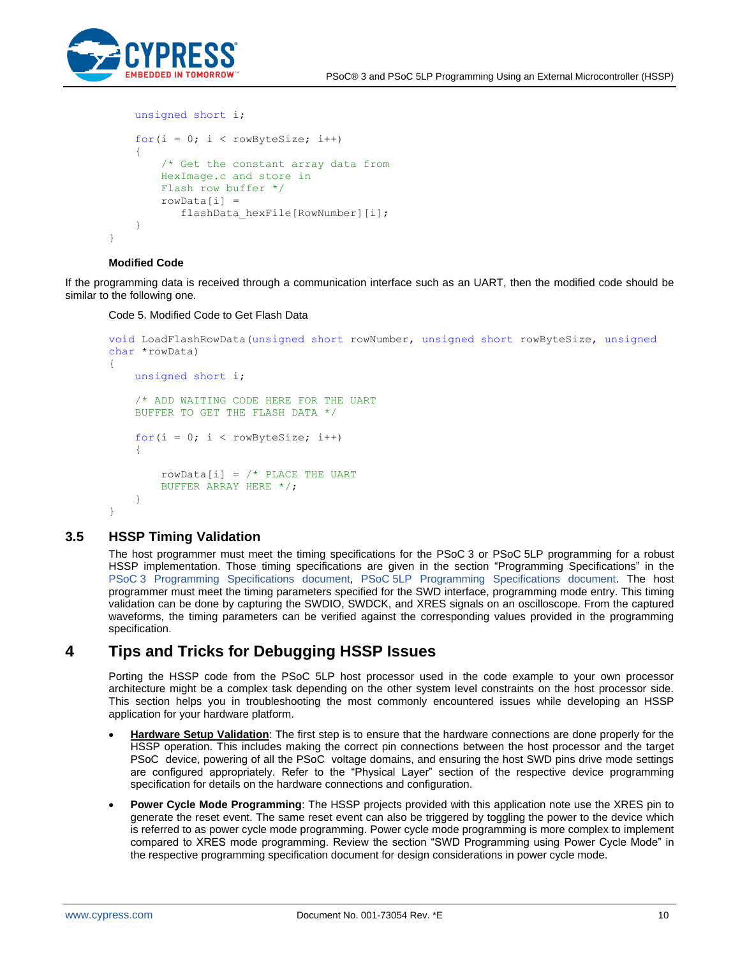

```
 unsigned short i;
    for(i = 0; i < rowByteSize; i++)\{ /* Get the constant array data from
        HexImage.c and store in 
        Flash row buffer */
        rowData[i] = flashData_hexFile[RowNumber][i];
     }
```
#### **Modified Code**

}

If the programming data is received through a communication interface such as an UART, then the modified code should be similar to the following one.

Code 5. Modified Code to Get Flash Data

```
void LoadFlashRowData(unsigned short rowNumber, unsigned short rowByteSize, unsigned 
char *rowData)
{
     unsigned short i;
     /* ADD WAITING CODE HERE FOR THE UART 
     BUFFER TO GET THE FLASH DATA */
    for(i = 0; i < rowByteSize; i++)
     {
        rowData[i] = /* PLACE THE UART
         BUFFER ARRAY HERE */;
     }
}
```
### <span id="page-9-0"></span>**3.5 HSSP Timing Validation**

The host programmer must meet the timing specifications for the PSoC 3 or PSoC 5LP programming for a robust HSSP implementation. Those timing specifications are given in the section "Programming Specifications" in the PSoC [3 Programming Specifications document,](http://www.cypress.com/?rID=44327) PSoC 5LP [Programming Specifications document.](http://www.cypress.com/?rID=72883) The host programmer must meet the timing parameters specified for the SWD interface, programming mode entry. This timing validation can be done by capturing the SWDIO, SWDCK, and XRES signals on an oscilloscope. From the captured waveforms, the timing parameters can be verified against the corresponding values provided in the programming specification.

## <span id="page-9-1"></span>**4 Tips and Tricks for Debugging HSSP Issues**

Porting the HSSP code from the PSoC 5LP host processor used in the code example to your own processor architecture might be a complex task depending on the other system level constraints on the host processor side. This section helps you in troubleshooting the most commonly encountered issues while developing an HSSP application for your hardware platform.

- **Hardware Setup Validation**: The first step is to ensure that the hardware connections are done properly for the HSSP operation. This includes making the correct pin connections between the host processor and the target PSoC device, powering of all the PSoC voltage domains, and ensuring the host SWD pins drive mode settings are configured appropriately. Refer to the "Physical Layer" section of the respective device programming specification for details on the hardware connections and configuration.
- **Power Cycle Mode Programming**: The HSSP projects provided with this application note use the XRES pin to generate the reset event. The same reset event can also be triggered by toggling the power to the device which is referred to as power cycle mode programming. Power cycle mode programming is more complex to implement compared to XRES mode programming. Review the section "SWD Programming using Power Cycle Mode" in the respective programming specification document for design considerations in power cycle mode.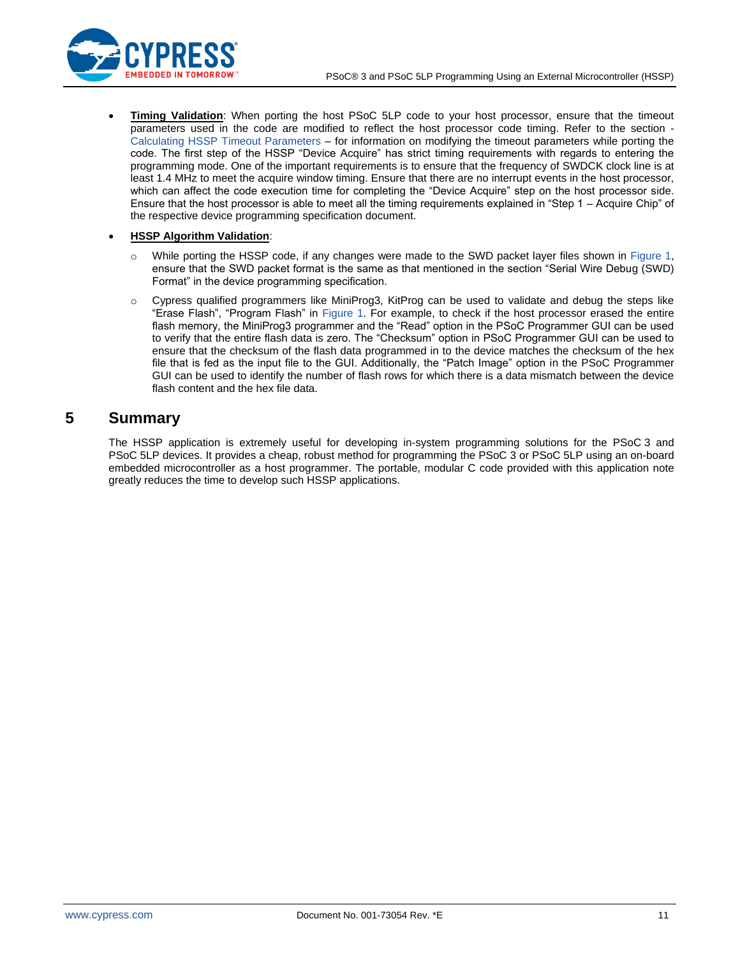

**Timing Validation**: When porting the host PSoC 5LP code to your host processor, ensure that the timeout parameters used in the code are modified to reflect the host processor code timing. Refer to the section - [Calculating HSSP Timeout Parameters](#page-7-0) – for information on modifying the timeout parameters while porting the code. The first step of the HSSP "Device Acquire" has strict timing requirements with regards to entering the programming mode. One of the important requirements is to ensure that the frequency of SWDCK clock line is at least 1.4 MHz to meet the acquire window timing. Ensure that there are no interrupt events in the host processor, which can affect the code execution time for completing the "Device Acquire" step on the host processor side. Ensure that the host processor is able to meet all the timing requirements explained in "Step 1 – Acquire Chip" of the respective device programming specification document.

### • **HSSP Algorithm Validation**:

- While porting the HSSP code, if any changes were made to the SWD packet layer files shown in [Figure 1,](#page-2-2) ensure that the SWD packet format is the same as that mentioned in the section "Serial Wire Debug (SWD) Format" in the device programming specification.
- o Cypress qualified programmers like MiniProg3, KitProg can be used to validate and debug the steps like "Erase Flash", "Program Flash" in [Figure 1.](#page-2-2) For example, to check if the host processor erased the entire flash memory, the MiniProg3 programmer and the "Read" option in the PSoC Programmer GUI can be used to verify that the entire flash data is zero. The "Checksum" option in PSoC Programmer GUI can be used to ensure that the checksum of the flash data programmed in to the device matches the checksum of the hex file that is fed as the input file to the GUI. Additionally, the "Patch Image" option in the PSoC Programmer GUI can be used to identify the number of flash rows for which there is a data mismatch between the device flash content and the hex file data.

## <span id="page-10-0"></span>**5 Summary**

The HSSP application is extremely useful for developing in-system programming solutions for the PSoC 3 and PSoC 5LP devices. It provides a cheap, robust method for programming the PSoC 3 or PSoC 5LP using an on-board embedded microcontroller as a host programmer. The portable, modular C code provided with this application note greatly reduces the time to develop such HSSP applications.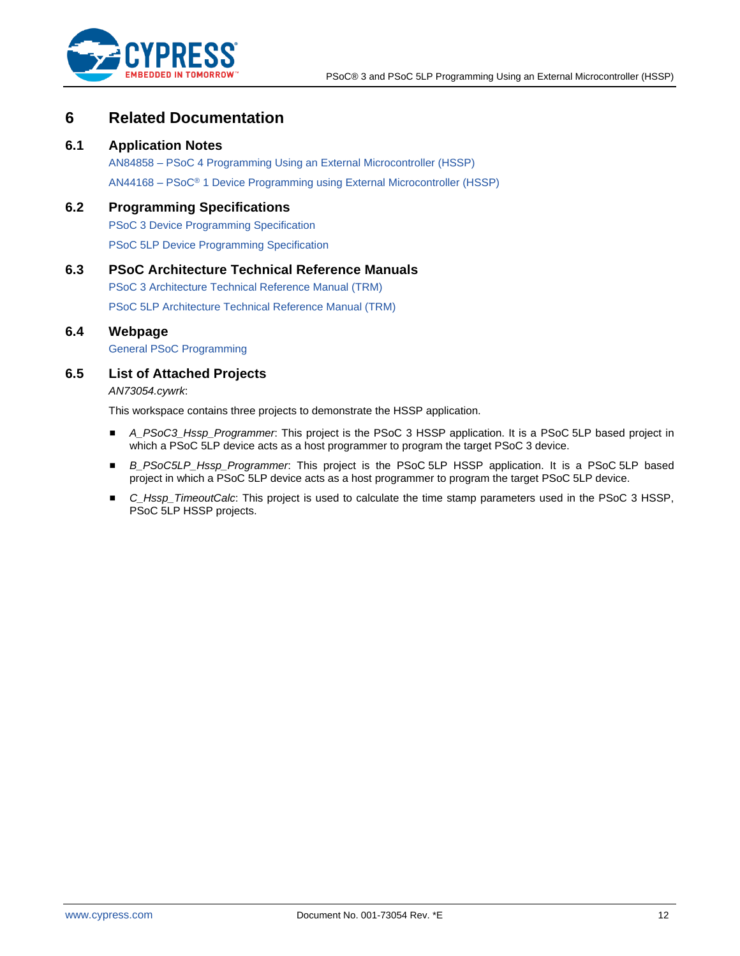

## <span id="page-11-0"></span>**6 Related Documentation**

### <span id="page-11-1"></span>**6.1 Application Notes**

AN84858 – [PSoC 4 Programming Using an External Microcontroller \(HSSP\)](http://www.cypress.com/documentation/application-notes/an84858-psoc-4-programming-using-external-microcontroller-hssp) AN44168 – PSoC® [1 Device Programming using External Microcontroller \(HSSP\)](http://www.cypress.com/?rID=2906&source=an84858)

## <span id="page-11-2"></span>**6.2 Programming Specifications**

[PSoC 3 Device Programming Specification](http://www.cypress.com/documentation/technical-reference-manuals/psoc-3-device-programming-specifications-cy8c32xxx) [PSoC 5LP Device Programming Specification](http://www.cypress.com/documentation/technical-reference-manuals/psoc-5lp-device-programming-specification)

## <span id="page-11-3"></span>**6.3 PSoC Architecture Technical Reference Manuals**

PSoC 3 [Architecture Technical Reference Manual \(TRM\)](http://www.cypress.com/documentation/technical-reference-manuals/psoc-3-architecture-trm)

<span id="page-11-4"></span>PSoC [5LP Architecture Technical Reference Manual \(TRM\)](http://www.cypress.com/documentation/technical-reference-manuals/psoc-5lp-architecture-trm)

## **6.4 Webpage**

[General PSoC Programming](http://www.cypress.com/?rID=2543)

## <span id="page-11-5"></span>**6.5 List of Attached Projects**

*AN73054.cywrk*:

This workspace contains three projects to demonstrate the HSSP application.

- *A\_PSoC3\_Hssp\_Programmer*: This project is the PSoC 3 HSSP application. It is a PSoC 5LP based project in which a PSoC 5LP device acts as a host programmer to program the target PSoC 3 device.
- *B\_PSoC5LP\_Hssp\_Programmer*: This project is the PSoC 5LP HSSP application. It is a PSoC 5LP based project in which a PSoC 5LP device acts as a host programmer to program the target PSoC 5LP device.
- *C\_Hssp\_TimeoutCalc*: This project is used to calculate the time stamp parameters used in the PSoC 3 HSSP, PSoC 5LP HSSP projects.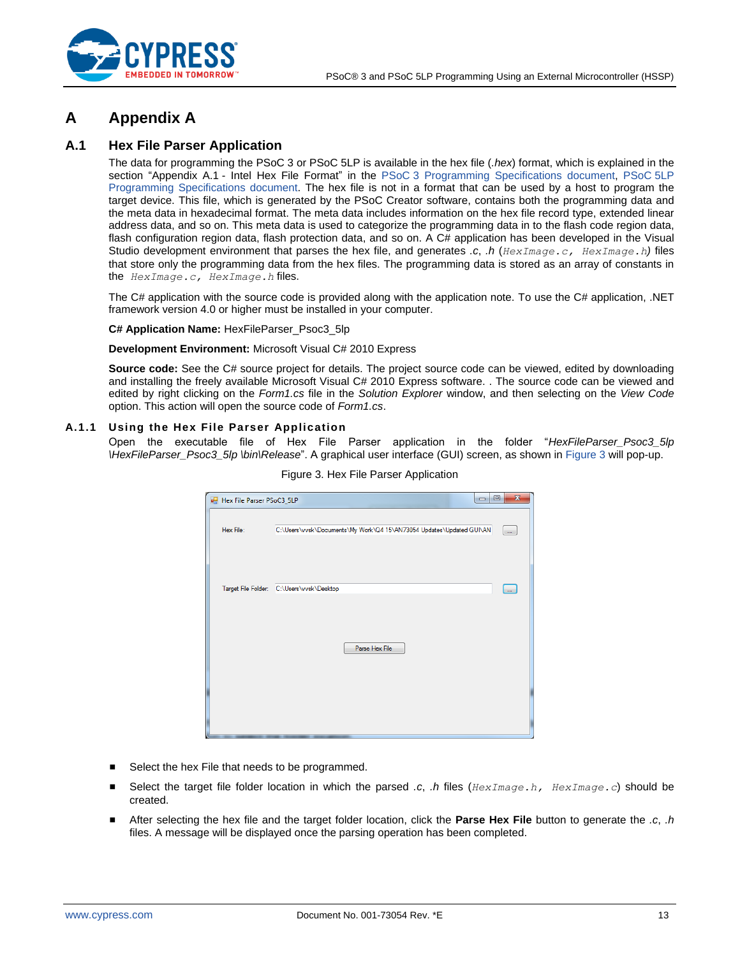

# <span id="page-12-0"></span>**A Appendix A**

### <span id="page-12-1"></span>**A.1 Hex File Parser Application**

The data for programming the PSoC 3 or PSoC 5LP is available in the hex file (*.hex*) format, which is explained in the section "Appendix A.1 - Intel Hex File Format" in the PSoC [3 Programming Specifications document,](http://www.cypress.com/?rID=44327) [PSoC](http://www.cypress.com/?rID=72883) 5LP [Programming Specifications document.](http://www.cypress.com/?rID=72883) The hex file is not in a format that can be used by a host to program the target device. This file, which is generated by the PSoC Creator software, contains both the programming data and the meta data in hexadecimal format. The meta data includes information on the hex file record type, extended linear address data, and so on. This meta data is used to categorize the programming data in to the flash code region data, flash configuration region data, flash protection data, and so on. A C# application has been developed in the Visual Studio development environment that parses the hex file, and generates *.c*, *.h* (*HexImage.c, HexImage.h)* files that store only the programming data from the hex files. The programming data is stored as an array of constants in the *HexImage.c, HexImage.h* files.

The C# application with the source code is provided along with the application note. To use the C# application, .NET framework version 4.0 or higher must be installed in your computer.

#### **C# Application Name:** HexFileParser\_Psoc3\_5lp

#### **Development Environment:** Microsoft Visual C# 2010 Express

**Source code:** See the C# source project for details. The project source code can be viewed, edited by downloading and installing the freely available Microsoft Visual C# 2010 Express software. . The source code can be viewed and edited by right clicking on the *Form1.cs* file in the *Solution Explorer* window, and then selecting on the *View Code* option. This action will open the source code of *Form1.cs*.

### <span id="page-12-2"></span>**A.1.1 Using the Hex File Parser Application**

Open the executable file of Hex File Parser application in the folder "*HexFileParser\_Psoc3\_5lp \HexFileParser\_Psoc3\_5lp \bin\Release*". A graphical user interface (GUI) screen, as shown in [Figure 3](#page-12-2) will pop-up.

| Hex File Parser PSoC3_5LP | $\qquad \qquad \Box$                                                 | $\mathbf{x}$<br>▣ |
|---------------------------|----------------------------------------------------------------------|-------------------|
| Hex File:                 | C:\Users\vvsk\Documents\My Work\Q4 15\AN73054 Updates\Updated GUI\AN | $\sim$            |
|                           | Target File Folder: C:\Users\vvsk\Desktop                            | $\sim$            |
|                           | Parse Hex File                                                       |                   |
|                           |                                                                      |                   |
|                           |                                                                      |                   |

Figure 3. Hex File Parser Application

- Select the hex File that needs to be programmed.
- Select the target file folder location in which the parsed *.c. .h* files (*HexImage.h, HexImage.c*) should be created.
- After selecting the hex file and the target folder location, click the **Parse Hex File** button to generate the *.c*, *.h* files. A message will be displayed once the parsing operation has been completed.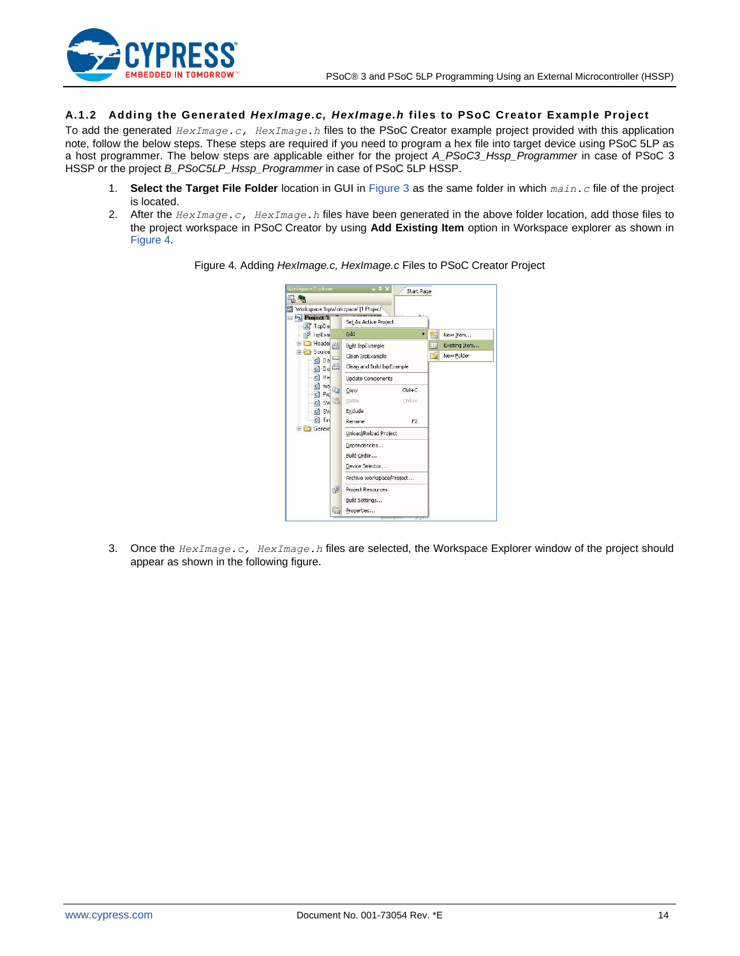

### **A.1.2 Adding the Generated** *HexImage.c, HexImage.h* **files to PSoC Creator Example Project**

To add the generated *HexImage.c, HexImage.h* files to the PSoC Creator example project provided with this application note, follow the below steps. These steps are required if you need to program a hex file into target device using PSoC 5LP as a host programmer. The below steps are applicable either for the project *A\_PSoC3\_Hssp\_Programmer* in case of PSoC 3 HSSP or the project *B\_PSoC5LP\_Hssp\_Programmer* in case of PSoC 5LP HSSP.

- 1. **Select the Target File Folder** location in GUI in [Figure 3](#page-12-2) as the same folder in which *main.c* file of the project is located.
- <span id="page-13-0"></span>2. After the *HexImage.c, HexImage.h* files have been generated in the above folder location, add those files to the project workspace in PSoC Creator by using **Add Existing Item** option in Workspace explorer as shown in [Figure 4.](#page-13-0)



Figure 4. Adding *HexImage.c, HexImage.c* Files to PSoC Creator Project

3. Once the *HexImage.c, HexImage.h* files are selected, the Workspace Explorer window of the project should appear as shown in the following figure.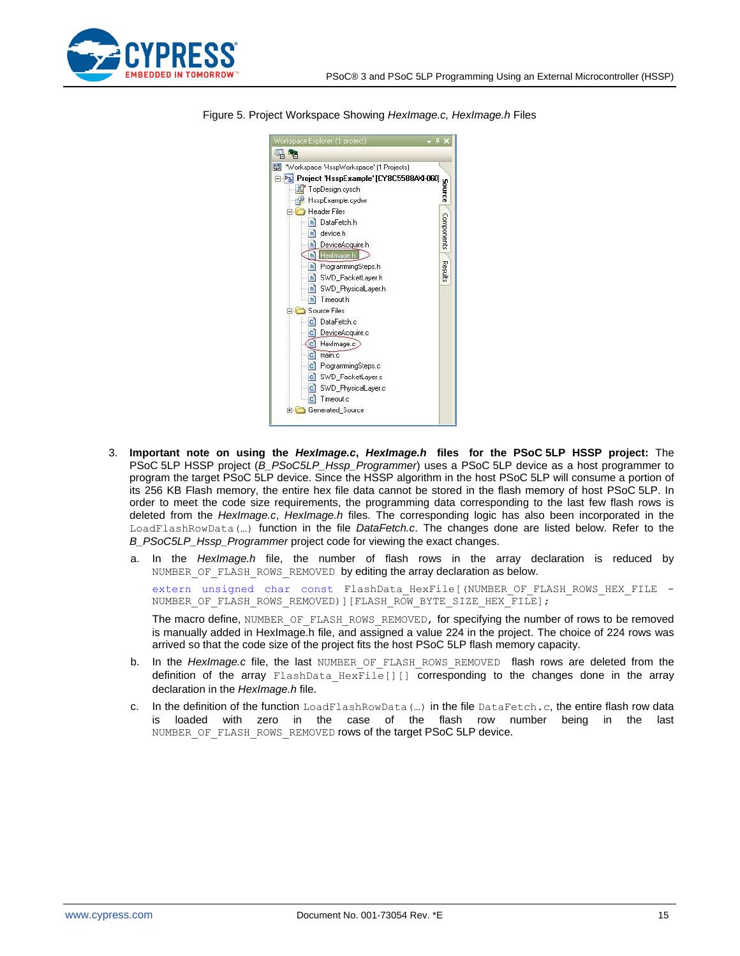



Figure 5. Project Workspace Showing *HexImage.c, HexImage.h* Files

- 3. **Important note on using the** *HexImage.c***,** *HexImage.h* **files for the PSoC 5LP HSSP project:** The PSoC 5LP HSSP project (*B\_PSoC5LP\_Hssp\_Programmer*) uses a PSoC 5LP device as a host programmer to program the target PSoC 5LP device. Since the HSSP algorithm in the host PSoC 5LP will consume a portion of its 256 KB Flash memory, the entire hex file data cannot be stored in the flash memory of host PSoC 5LP. In order to meet the code size requirements, the programming data corresponding to the last few flash rows is deleted from the *HexImage.c*, *HexImage.h* files. The corresponding logic has also been incorporated in the LoadFlashRowData(…) function in the file *DataFetch.c*. The changes done are listed below. Refer to the *B\_PSoC5LP\_Hssp\_Programmer* project code for viewing the exact changes.
	- a. In the *HexImage.h* file, the number of flash rows in the array declaration is reduced by NUMBER OF FLASH ROWS REMOVED by editing the array declaration as below.

extern unsigned char const FlashData HexFile[(NUMBER OF FLASH ROWS HEX FILE -NUMBER OF FLASH\_ROWS\_REMOVED)][FLASH\_ROW\_BYTE\_SIZE\_HEX\_FILE];

The macro define, NUMBER OF FLASH ROWS REMOVED, for specifying the number of rows to be removed is manually added in HexImage.h file, and assigned a value 224 in the project. The choice of 224 rows was arrived so that the code size of the project fits the host PSoC 5LP flash memory capacity.

- b. In the *HexImage.c* file, the last NUMBER OF FLASH ROWS REMOVED flash rows are deleted from the definition of the array FlashData HexFile[][] corresponding to the changes done in the array declaration in the *HexImage.h* file.
- c. In the definition of the function LoadFlashRowData(…) in the file DataFetch.c, the entire flash row data is loaded with zero in the case of the flash row number being in the last NUMBER OF FLASH ROWS REMOVED rows of the target PSoC 5LP device.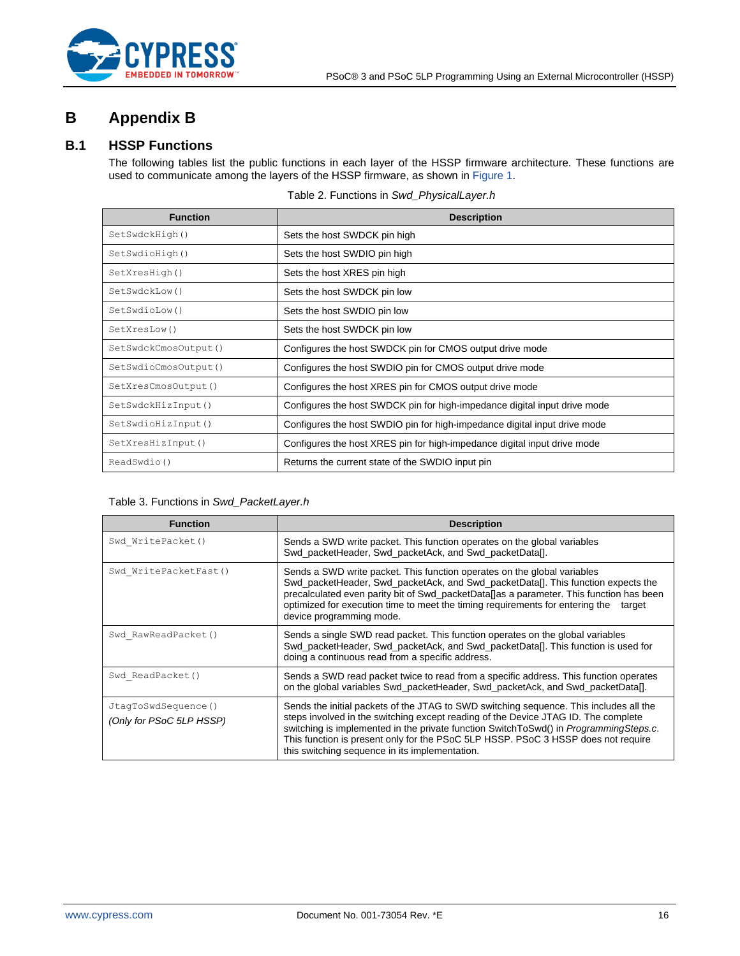

# <span id="page-15-0"></span>**B Appendix B**

## <span id="page-15-1"></span>**B.1 HSSP Functions**

The following tables list the public functions in each layer of the HSSP firmware architecture. These functions are used to communicate among the layers of the HSSP firmware, as shown in [Figure 1.](#page-2-2)

| <b>Function</b>      | <b>Description</b>                                                        |
|----------------------|---------------------------------------------------------------------------|
| SetSwdckHigh()       | Sets the host SWDCK pin high                                              |
| SetSwdioHigh()       | Sets the host SWDIO pin high                                              |
| SetXresHigh()        | Sets the host XRES pin high                                               |
| SetSwdckLow()        | Sets the host SWDCK pin low                                               |
| SetSwdioLow()        | Sets the host SWDIO pin low                                               |
| SetXresLow()         | Sets the host SWDCK pin low                                               |
| SetSwdckCmosOutput() | Configures the host SWDCK pin for CMOS output drive mode                  |
| SetSwdioCmosOutput() | Configures the host SWDIO pin for CMOS output drive mode                  |
| SetXresCmosOutput()  | Configures the host XRES pin for CMOS output drive mode                   |
| SetSwdckHizInput()   | Configures the host SWDCK pin for high-impedance digital input drive mode |
| SetSwdioHizInput()   | Configures the host SWDIO pin for high-impedance digital input drive mode |
| SetXresHizInput()    | Configures the host XRES pin for high-impedance digital input drive mode  |
| ReadSwdio()          | Returns the current state of the SWDIO input pin                          |

### Table 2. Functions in *Swd\_PhysicalLayer.h*

### Table 3. Functions in *Swd\_PacketLayer.h*

| <b>Function</b>                                 | <b>Description</b>                                                                                                                                                                                                                                                                                                                                                                                           |
|-------------------------------------------------|--------------------------------------------------------------------------------------------------------------------------------------------------------------------------------------------------------------------------------------------------------------------------------------------------------------------------------------------------------------------------------------------------------------|
| Swd WritePacket()                               | Sends a SWD write packet. This function operates on the global variables<br>Swd_packetHeader, Swd_packetAck, and Swd_packetData[].                                                                                                                                                                                                                                                                           |
| Swd WritePacketFast()                           | Sends a SWD write packet. This function operates on the global variables<br>Swd packetHeader, Swd packetAck, and Swd packetDatal. This function expects the<br>precalculated even parity bit of Swd_packetData[]as a parameter. This function has been<br>optimized for execution time to meet the timing requirements for entering the<br>target<br>device programming mode.                                |
| Swd RawReadPacket()                             | Sends a single SWD read packet. This function operates on the global variables<br>Swd packetHeader, Swd packetAck, and Swd packetData[]. This function is used for<br>doing a continuous read from a specific address.                                                                                                                                                                                       |
| Swd ReadPacket()                                | Sends a SWD read packet twice to read from a specific address. This function operates<br>on the global variables Swd_packetHeader, Swd_packetAck, and Swd_packetData[].                                                                                                                                                                                                                                      |
| JtaqToSwdSequence()<br>(Only for PSoC 5LP HSSP) | Sends the initial packets of the JTAG to SWD switching sequence. This includes all the<br>steps involved in the switching except reading of the Device JTAG ID. The complete<br>switching is implemented in the private function SwitchToSwd() in ProgrammingSteps.c.<br>This function is present only for the PSoC 5LP HSSP. PSoC 3 HSSP does not require<br>this switching sequence in its implementation. |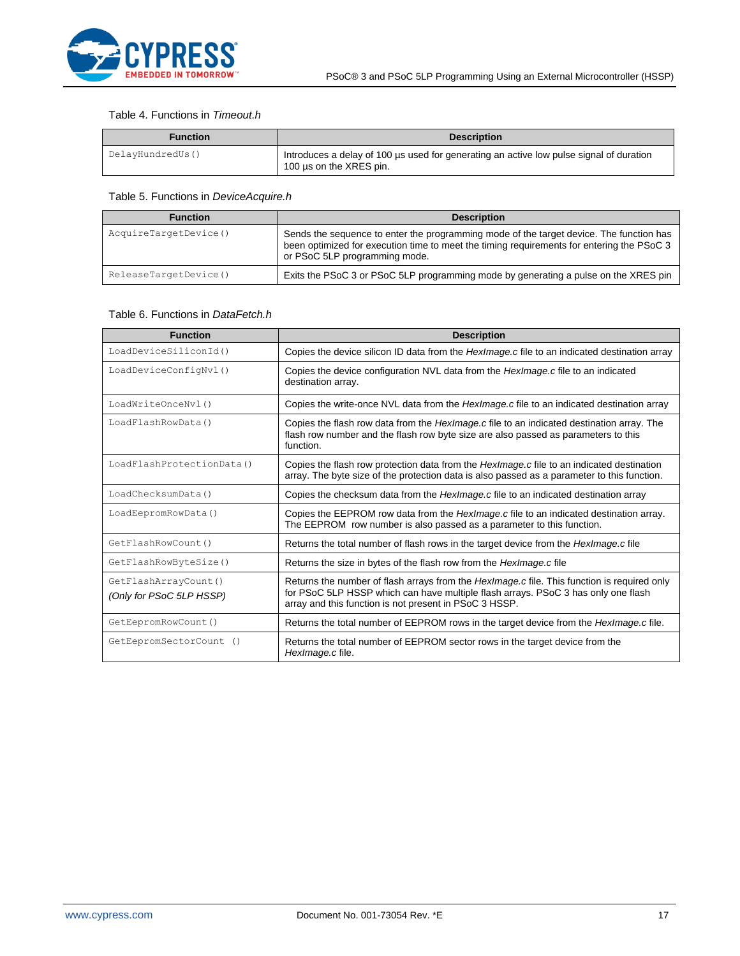

### Table 4. Functions in *Timeout.h*

| Function         | <b>Description</b>                                                                                                 |  |  |
|------------------|--------------------------------------------------------------------------------------------------------------------|--|--|
| DelayHundredUs() | Introduces a delay of 100 µs used for generating an active low pulse signal of duration<br>100 µs on the XRES pin. |  |  |

### Table 5. Functions in *DeviceAcquire.h*

| <b>Function</b>       | <b>Description</b>                                                                                                                                                                                                    |
|-----------------------|-----------------------------------------------------------------------------------------------------------------------------------------------------------------------------------------------------------------------|
| AcquireTargetDevice() | Sends the sequence to enter the programming mode of the target device. The function has<br>been optimized for execution time to meet the timing requirements for entering the PSoC 3<br>or PSoC 5LP programming mode. |
| ReleaseTargetDevice() | Exits the PSoC 3 or PSoC 5LP programming mode by generating a pulse on the XRES pin                                                                                                                                   |

### Table 6. Functions in *DataFetch.h*

| <b>Function</b>                                  | <b>Description</b>                                                                                                                                                                                                                                |
|--------------------------------------------------|---------------------------------------------------------------------------------------------------------------------------------------------------------------------------------------------------------------------------------------------------|
| LoadDeviceSiliconId()                            | Copies the device silicon ID data from the <i>HexImage.c</i> file to an indicated destination array                                                                                                                                               |
| LoadDeviceConfigNvl()                            | Copies the device configuration NVL data from the <i>HexImage.c</i> file to an indicated<br>destination array.                                                                                                                                    |
| LoadWriteOnceNvl()                               | Copies the write-once NVL data from the <i>HexImage.c</i> file to an indicated destination array                                                                                                                                                  |
| LoadFlashRowData()                               | Copies the flash row data from the <i>Hexlmage.c</i> file to an indicated destination array. The<br>flash row number and the flash row byte size are also passed as parameters to this<br>function.                                               |
| LoadFlashProtectionData()                        | Copies the flash row protection data from the HexImage.c file to an indicated destination<br>array. The byte size of the protection data is also passed as a parameter to this function.                                                          |
| LoadChecksumData()                               | Copies the checksum data from the <i>Hexlmage.c</i> file to an indicated destination array                                                                                                                                                        |
| LoadEepromRowData()                              | Copies the EEPROM row data from the <i>HexImage.c</i> file to an indicated destination array.<br>The EEPROM row number is also passed as a parameter to this function.                                                                            |
| GetFlashRowCount()                               | Returns the total number of flash rows in the target device from the <i>HexImage.c</i> file                                                                                                                                                       |
| GetFlashRowByteSize()                            | Returns the size in bytes of the flash row from the <i>HexImage.c</i> file                                                                                                                                                                        |
| GetFlashArrayCount()<br>(Only for PSoC 5LP HSSP) | Returns the number of flash arrays from the <i>HexImage.c</i> file. This function is required only<br>for PSoC 5LP HSSP which can have multiple flash arrays. PSoC 3 has only one flash<br>array and this function is not present in PSoC 3 HSSP. |
| GetEepromRowCount ()                             | Returns the total number of EEPROM rows in the target device from the <i>HexImage.c</i> file.                                                                                                                                                     |
| GetEepromSectorCount ()                          | Returns the total number of EEPROM sector rows in the target device from the<br>HexImage.c file.                                                                                                                                                  |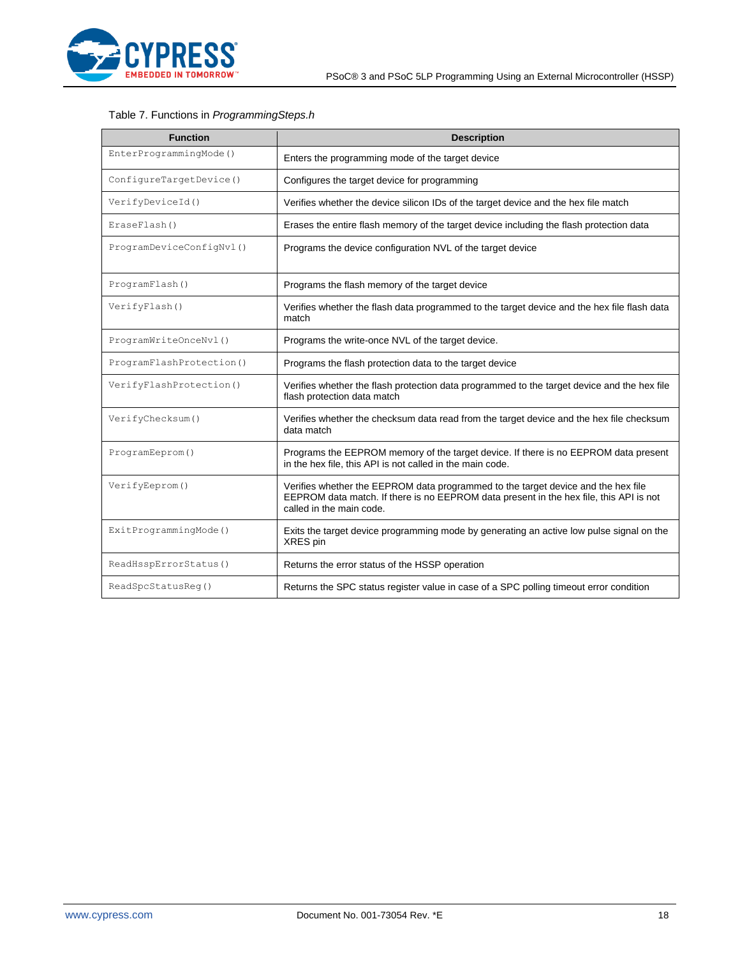

### Table 7. Functions in *ProgrammingSteps.h*

| <b>Function</b>          | <b>Description</b>                                                                                                                                                                                      |
|--------------------------|---------------------------------------------------------------------------------------------------------------------------------------------------------------------------------------------------------|
| EnterProgrammingMode()   | Enters the programming mode of the target device                                                                                                                                                        |
| ConfigureTargetDevice()  | Configures the target device for programming                                                                                                                                                            |
| VerifyDeviceId()         | Verifies whether the device silicon IDs of the target device and the hex file match                                                                                                                     |
| EraseFlash()             | Erases the entire flash memory of the target device including the flash protection data                                                                                                                 |
| ProgramDeviceConfigNvl() | Programs the device configuration NVL of the target device                                                                                                                                              |
| ProgramFlash()           | Programs the flash memory of the target device                                                                                                                                                          |
| VerifyFlash()            | Verifies whether the flash data programmed to the target device and the hex file flash data<br>match                                                                                                    |
| ProgramWriteOnceNvl()    | Programs the write-once NVL of the target device.                                                                                                                                                       |
| ProgramFlashProtection() | Programs the flash protection data to the target device                                                                                                                                                 |
| VerifyFlashProtection()  | Verifies whether the flash protection data programmed to the target device and the hex file<br>flash protection data match                                                                              |
| VerifyChecksum()         | Verifies whether the checksum data read from the target device and the hex file checksum<br>data match                                                                                                  |
| ProgramEeprom()          | Programs the EEPROM memory of the target device. If there is no EEPROM data present<br>in the hex file, this API is not called in the main code.                                                        |
| VerifyEeprom()           | Verifies whether the EEPROM data programmed to the target device and the hex file<br>EEPROM data match. If there is no EEPROM data present in the hex file, this API is not<br>called in the main code. |
| ExitProgrammingMode()    | Exits the target device programming mode by generating an active low pulse signal on the<br>XRES pin                                                                                                    |
| ReadHsspErrorStatus()    | Returns the error status of the HSSP operation                                                                                                                                                          |
| ReadSpcStatusReq()       | Returns the SPC status register value in case of a SPC polling timeout error condition                                                                                                                  |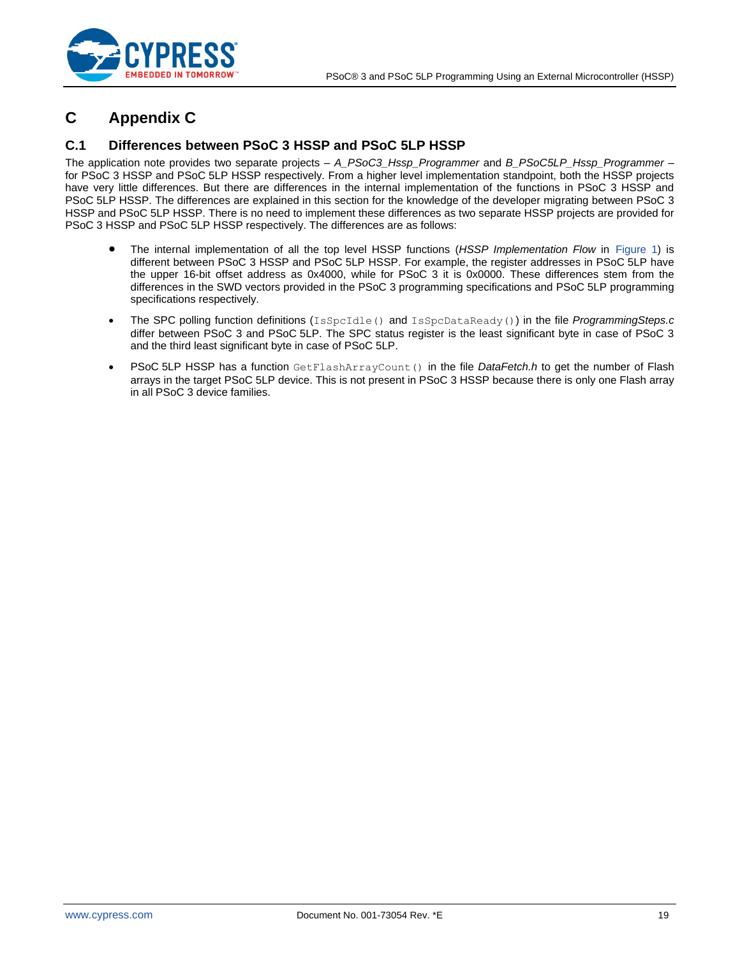

# <span id="page-18-0"></span>**C Appendix C**

## <span id="page-18-1"></span>**C.1 Differences between PSoC 3 HSSP and PSoC 5LP HSSP**

The application note provides two separate projects – *A\_PSoC3\_Hssp\_Programmer* and *B\_PSoC5LP\_Hssp\_Programmer* – for PSoC 3 HSSP and PSoC 5LP HSSP respectively. From a higher level implementation standpoint, both the HSSP projects have very little differences. But there are differences in the internal implementation of the functions in PSoC 3 HSSP and PSoC 5LP HSSP. The differences are explained in this section for the knowledge of the developer migrating between PSoC 3 HSSP and PSoC 5LP HSSP. There is no need to implement these differences as two separate HSSP projects are provided for PSoC 3 HSSP and PSoC 5LP HSSP respectively. The differences are as follows:

- The internal implementation of all the top level HSSP functions (*HSSP Implementation Flow* in [Figure 1\)](#page-2-2) is different between PSoC 3 HSSP and PSoC 5LP HSSP. For example, the register addresses in PSoC 5LP have the upper 16-bit offset address as 0x4000, while for PSoC 3 it is 0x0000. These differences stem from the differences in the SWD vectors provided in the PSoC 3 programming specifications and PSoC 5LP programming specifications respectively.
- The SPC polling function definitions (IsSpcIdle() and IsSpcDataReady()) in the file *ProgrammingSteps.c* differ between PSoC 3 and PSoC 5LP. The SPC status register is the least significant byte in case of PSoC 3 and the third least significant byte in case of PSoC 5LP.
- PSoC 5LP HSSP has a function GetFlashArrayCount() in the file *DataFetch.h* to get the number of Flash arrays in the target PSoC 5LP device. This is not present in PSoC 3 HSSP because there is only one Flash array in all PSoC 3 device families.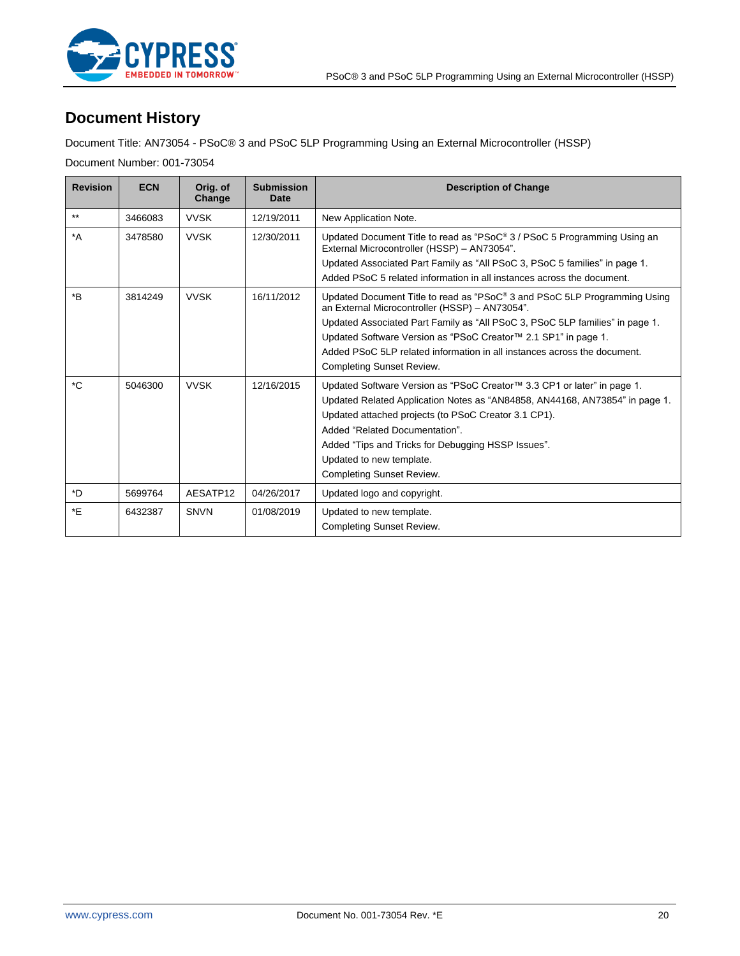

# <span id="page-19-0"></span>**Document History**

Document Title: AN73054 - PSoC® 3 and PSoC 5LP Programming Using an External Microcontroller (HSSP)

Document Number: 001-73054

| <b>Revision</b>  | <b>ECN</b> | Orig. of<br>Change | <b>Submission</b><br>Date | <b>Description of Change</b>                                                                                                                                                                                                                                                                                                                                                                  |
|------------------|------------|--------------------|---------------------------|-----------------------------------------------------------------------------------------------------------------------------------------------------------------------------------------------------------------------------------------------------------------------------------------------------------------------------------------------------------------------------------------------|
| $***$            | 3466083    | <b>VVSK</b>        | 12/19/2011                | New Application Note.                                                                                                                                                                                                                                                                                                                                                                         |
| $^*A$            | 3478580    | <b>VVSK</b>        | 12/30/2011                | Updated Document Title to read as "PSoC® 3 / PSoC 5 Programming Using an<br>External Microcontroller (HSSP) - AN73054".<br>Updated Associated Part Family as "All PSoC 3, PSoC 5 families" in page 1.<br>Added PSoC 5 related information in all instances across the document.                                                                                                               |
| $*_{\mathsf{B}}$ | 3814249    | <b>VVSK</b>        | 16/11/2012                | Updated Document Title to read as "PSoC® 3 and PSoC 5LP Programming Using<br>an External Microcontroller (HSSP) - AN73054".<br>Updated Associated Part Family as "All PSoC 3, PSoC 5LP families" in page 1.<br>Updated Software Version as "PSoC Creator™ 2.1 SP1" in page 1.<br>Added PSoC 5LP related information in all instances across the document.<br><b>Completing Sunset Review.</b> |
| *C               | 5046300    | <b>VVSK</b>        | 12/16/2015                | Updated Software Version as "PSoC Creator™ 3.3 CP1 or later" in page 1.<br>Updated Related Application Notes as "AN84858, AN44168, AN73854" in page 1.<br>Updated attached projects (to PSoC Creator 3.1 CP1).<br>Added "Related Documentation".<br>Added "Tips and Tricks for Debugging HSSP Issues".<br>Updated to new template.<br>Completing Sunset Review.                               |
| *D               | 5699764    | AESATP12           | 04/26/2017                | Updated logo and copyright.                                                                                                                                                                                                                                                                                                                                                                   |
| *E               | 6432387    | <b>SNVN</b>        | 01/08/2019                | Updated to new template.<br>Completing Sunset Review.                                                                                                                                                                                                                                                                                                                                         |